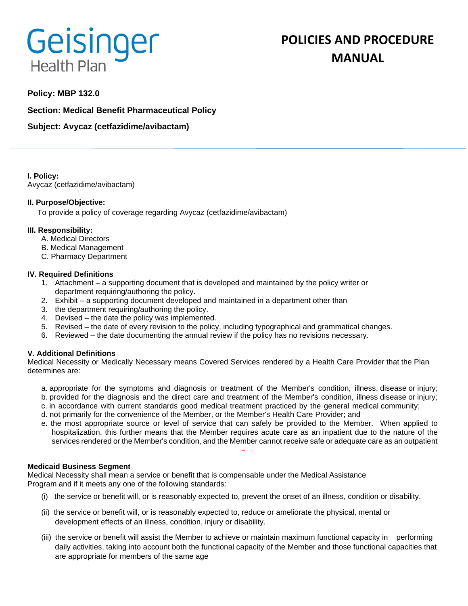# Geisinger **Health Plan**

# **POLICIES AND PROCEDURE MANUAL**

# **Policy: MBP 132.0**

**Section: Medical Benefit Pharmaceutical Policy**

**Subject: Avycaz (cetfazidime/avibactam)** 

**I. Policy:** Avycaz (cetfazidime/avibactam)

# **II. Purpose/Objective:**

To provide a policy of coverage regarding Avycaz (cetfazidime/avibactam)

# **III. Responsibility:**

- A. Medical Directors
- B. Medical Management
- C. Pharmacy Department

# **IV. Required Definitions**

- 1. Attachment a supporting document that is developed and maintained by the policy writer or department requiring/authoring the policy.
- 2. Exhibit a supporting document developed and maintained in a department other than
- 3. the department requiring/authoring the policy.
- 4. Devised the date the policy was implemented.
- 5. Revised the date of every revision to the policy, including typographical and grammatical changes.
- 6. Reviewed the date documenting the annual review if the policy has no revisions necessary.

# **V. Additional Definitions**

Medical Necessity or Medically Necessary means Covered Services rendered by a Health Care Provider that the Plan determines are:

- a. appropriate for the symptoms and diagnosis or treatment of the Member's condition, illness, disease or injury; b. provided for the diagnosis and the direct care and treatment of the Member's condition, illness disease or injury;
- c. in accordance with current standards good medical treatment practiced by the general medical community;
- d. not primarily for the convenience of the Member, or the Member's Health Care Provider; and
- e. the most appropriate source or level of service that can safely be provided to the Member. When applied to hospitalization, this further means that the Member requires acute care as an inpatient due to the nature of the services rendered or the Member's condition, and the Member cannot receive safe or adequate care as an outpatient

# **Medicaid Business Segment**

Medical Necessity shall mean a service or benefit that is compensable under the Medical Assistance Program and if it meets any one of the following standards:

- (i) the service or benefit will, or is reasonably expected to, prevent the onset of an illness, condition or disability.
- (ii) the service or benefit will, or is reasonably expected to, reduce or ameliorate the physical, mental or development effects of an illness, condition, injury or disability.
- (iii) the service or benefit will assist the Member to achieve or maintain maximum functional capacity in performing daily activities, taking into account both the functional capacity of the Member and those functional capacities that are appropriate for members of the same age